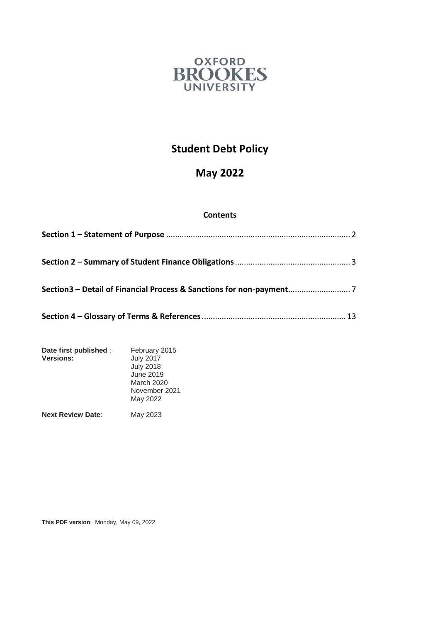

# **Student Debt Policy**

# **May 2022**

# **Contents**

| Date first published :<br><b>Versions:</b> | February 2015<br><b>July 2017</b><br><b>July 2018</b><br>June 2019<br>March 2020<br>November 2021<br>May 2022 |
|--------------------------------------------|---------------------------------------------------------------------------------------------------------------|
| <b>Next Review Date:</b>                   | May 2023                                                                                                      |

**This PDF version**: Monday, May 09, 2022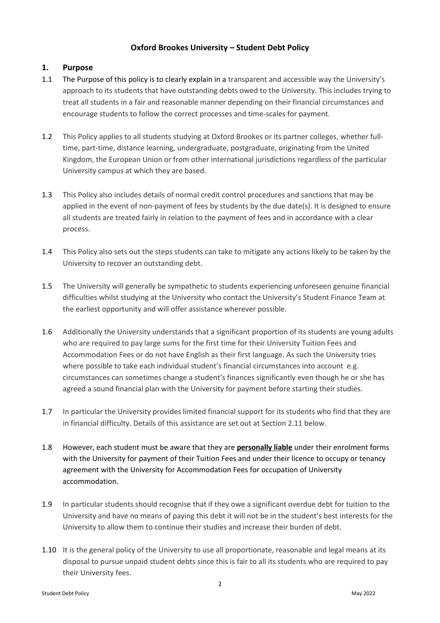# **Oxford Brookes University – Student Debt Policy**

# <span id="page-1-0"></span>**1. Purpose**

- 1.1 The Purpose of this policy is to clearly explain in a transparent and accessible way the University's approach to its students that have outstanding debts owed to the University. This includes trying to treat all students in a fair and reasonable manner depending on their financial circumstances and encourage students to follow the correct processes and time-scales for payment.
- 1.2 This Policy applies to all students studying at Oxford Brookes or its partner colleges, whether fulltime, part-time, distance learning, undergraduate, postgraduate, originating from the United Kingdom, the European Union or from other international jurisdictions regardless of the particular University campus at which they are based.
- 1.3 This Policy also includes details of normal credit control procedures and sanctions that may be applied in the event of non-payment of fees by students by the due date(s). It is designed to ensure all students are treated fairly in relation to the payment of fees and in accordance with a clear process.
- 1.4 This Policy also sets out the steps students can take to mitigate any actions likely to be taken by the University to recover an outstanding debt.
- 1.5 The University will generally be sympathetic to students experiencing unforeseen genuine financial difficulties whilst studying at the University who contact the University's Student Finance Team at the earliest opportunity and will offer assistance wherever possible.
- 1.6 Additionally the University understands that a significant proportion of its students are young adults who are required to pay large sums for the first time for their University Tuition Fees and Accommodation Fees or do not have English as their first language. As such the University tries where possible to take each individual student's financial circumstances into account e.g. circumstances can sometimes change a student's finances significantly even though he or she has agreed a sound financial plan with the University for payment before starting their studies.
- 1.7 In particular the University provides limited financial support for its students who find that they are in financial difficulty. Details of this assistance are set out at Sectio[n 2.11](#page-6-1) below.
- 1.8 However, each student must be aware that they are **personally liable** under their enrolment forms with the University for payment of their Tuition Fees and under their licence to occupy or tenancy agreement with the University for Accommodation Fees for occupation of University accommodation.
- 1.9 In particular students should recognise that if they owe a significant overdue debt for tuition to the University and have no means of paying this debt it will not be in the student's best interests for the University to allow them to continue their studies and increase their burden of debt.
- 1.10 It is the general policy of the University to use all proportionate, reasonable and legal means at its disposal to pursue unpaid student debts since this is fair to all its students who are required to pay their University fees.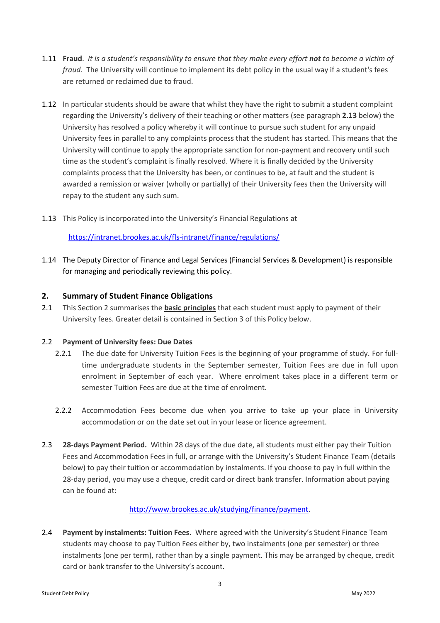- 1.11 **Fraud**. *It is a student's responsibility to ensure that they make every effort not to become a victim of fraud.* The University will continue to implement its debt policy in the usual way if a student's fees are returned or reclaimed due to fraud.
- 1.12 In particular students should be aware that whilst they have the right to submit a student complaint regarding the University's delivery of their teaching or other matters (see paragraph **2.13** below) the University has resolved a policy whereby it will continue to pursue such student for any unpaid University fees in parallel to any complaints process that the student has started. This means that the University will continue to apply the appropriate sanction for non-payment and recovery until such time as the student's complaint is finally resolved. Where it is finally decided by the University complaints process that the University has been, or continues to be, at fault and the student is awarded a remission or waiver (wholly or partially) of their University fees then the University will repay to the student any such sum.
- 1.13 This Policy is incorporated into the University's Financial Regulations at

<https://intranet.brookes.ac.uk/fls-intranet/finance/regulations/>

1.14 The Deputy Director of Finance and Legal Services (Financial Services & Development) is responsible for managing and periodically reviewing this policy.

# <span id="page-2-0"></span>**2. Summary of Student Finance Obligations**

2.1 This Section 2 summarises the **basic principles** that each student must apply to payment of their University fees. Greater detail is contained in Section 3 of this Policy below.

#### 2.2 **Payment of University fees: Due Dates**

- 2.2.1 The due date for University Tuition Fees is the beginning of your programme of study. For fulltime undergraduate students in the September semester, Tuition Fees are due in full upon enrolment in September of each year. Where enrolment takes place in a different term or semester Tuition Fees are due at the time of enrolment.
- 2.2.2 Accommodation Fees become due when you arrive to take up your place in University accommodation or on the date set out in your lease or licence agreement.
- 2.3 **28-days Payment Period.** Within 28 days of the due date, all students must either pay their Tuition Fees and Accommodation Fees in full, or arrange with the University's Student Finance Team (details below) to pay their tuition or accommodation by instalments. If you choose to pay in full within the 28-day period, you may use a cheque, credit card or direct bank transfer. Information about paying can be found at:

#### [http://www.brookes.ac.uk/studying/finance/payment.](http://www.brookes.ac.uk/studying/finance/payment)

2.4 **Payment by instalments: Tuition Fees.** Where agreed with the University's Student Finance Team students may choose to pay Tuition Fees either by, two instalments (one per semester) or three instalments (one per term), rather than by a single payment. This may be arranged by cheque, credit card or bank transfer to the University's account.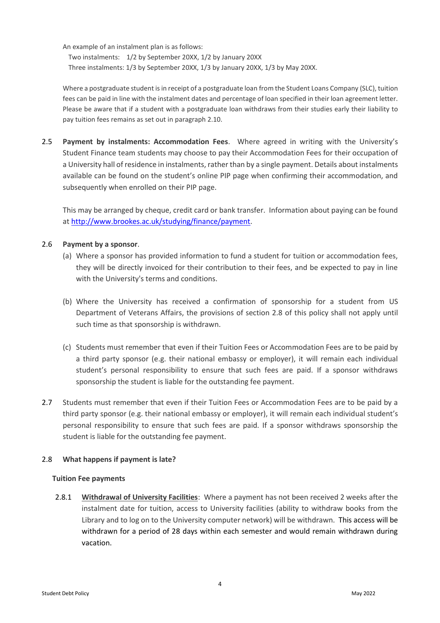An example of an instalment plan is as follows:

Two instalments: 1/2 by September 20XX, 1/2 by January 20XX Three instalments: 1/3 by September 20XX, 1/3 by January 20XX, 1/3 by May 20XX.

Where a postgraduate student is in receipt of a postgraduate loan from the Student Loans Company (SLC), tuition fees can be paid in line with the instalment dates and percentage of loan specified in their loan agreement letter. Please be aware that if a student with a postgraduate loan withdraws from their studies early their liability to pay tuition fees remains as set out in paragraph [2.10.](#page-5-0)

2.5 **Payment by instalments: Accommodation Fees**. Where agreed in writing with the University's Student Finance team students may choose to pay their Accommodation Fees for their occupation of a University hall of residence in instalments, rather than by a single payment. Details about instalments available can be found on the student's online PIP page when confirming their accommodation, and subsequently when enrolled on their PIP page.

This may be arranged by cheque, credit card or bank transfer. Information about paying can be found at [http://www.brookes.ac.uk/studying/finance/payment.](http://www.brookes.ac.uk/studying/finance/payment)

# 2.6 **Payment by a sponsor**.

- (a) Where a sponsor has provided information to fund a student for tuition or accommodation fees, they will be directly invoiced for their contribution to their fees, and be expected to pay in line with the University's terms and conditions.
- (b) Where the University has received a confirmation of sponsorship for a student from US Department of Veterans Affairs, the provisions of section 2.8 of this policy shall not apply until such time as that sponsorship is withdrawn.
- (c) Students must remember that even if their Tuition Fees or Accommodation Fees are to be paid by a third party sponsor (e.g. their national embassy or employer), it will remain each individual student's personal responsibility to ensure that such fees are paid. If a sponsor withdraws sponsorship the student is liable for the outstanding fee payment.
- 2.7 Students must remember that even if their Tuition Fees or Accommodation Fees are to be paid by a third party sponsor (e.g. their national embassy or employer), it will remain each individual student's personal responsibility to ensure that such fees are paid. If a sponsor withdraws sponsorship the student is liable for the outstanding fee payment.

# 2.8 **What happens if payment is late?**

# **Tuition Fee payments**

2.8.1 **Withdrawal of University Facilities**: Where a payment has not been received 2 weeks after the instalment date for tuition, access to University facilities (ability to withdraw books from the Library and to log on to the University computer network) will be withdrawn. This access will be withdrawn for a period of 28 days within each semester and would remain withdrawn during vacation.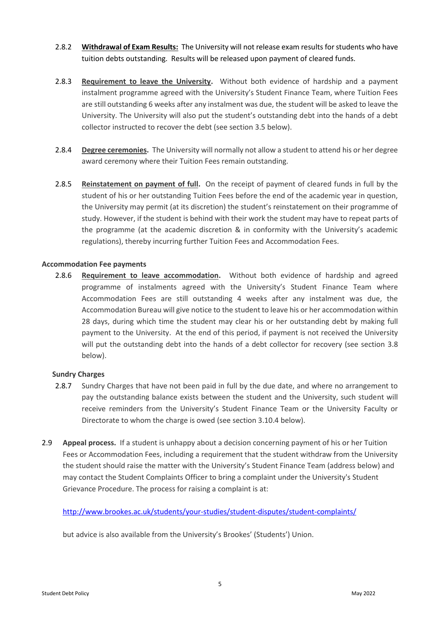- 2.8.2 **Withdrawal of Exam Results:** The University will not release exam results for students who have tuition debts outstanding. Results will be released upon payment of cleared funds.
- 2.8.3 **Requirement to leave the University.** Without both evidence of hardship and a payment instalment programme agreed with the University's Student Finance Team, where Tuition Fees are still outstanding 6 weeks after any instalment was due, the student will be asked to leave the University. The University will also put the student's outstanding debt into the hands of a debt collector instructed to recover the debt (see section [3.5](#page-8-0) below).
- 2.8.4 **Degree ceremonies.** The University will normally not allow a student to attend his or her degree award ceremony where their Tuition Fees remain outstanding.
- 2.8.5 **Reinstatement on payment of full.** On the receipt of payment of cleared funds in full by the student of his or her outstanding Tuition Fees before the end of the academic year in question, the University may permit (at its discretion) the student's reinstatement on their programme of study. However, if the student is behind with their work the student may have to repeat parts of the programme (at the academic discretion & in conformity with the University's academic regulations), thereby incurring further Tuition Fees and Accommodation Fees.

## **Accommodation Fee payments**

2.8.6 **Requirement to leave accommodation.** Without both evidence of hardship and agreed programme of instalments agreed with the University's Student Finance Team where Accommodation Fees are still outstanding 4 weeks after any instalment was due, the Accommodation Bureau will give notice to the student to leave his or her accommodation within 28 days, during which time the student may clear his or her outstanding debt by making full payment to the University. At the end of this period, if payment is not received the University will put the outstanding debt into the hands of a debt collector for recovery (see section [3.8](#page-10-0) below).

# **Sundry Charges**

- 2.8.7 Sundry Charges that have not been paid in full by the due date, and where no arrangement to pay the outstanding balance exists between the student and the University, such student will receive reminders from the University's Student Finance Team or the University Faculty or Directorate to whom the charge is owed (see sectio[n 3.10.4](#page-11-0) below).
- 2.9 **Appeal process.** If a student is unhappy about a decision concerning payment of his or her Tuition Fees or Accommodation Fees, including a requirement that the student withdraw from the University the student should raise the matter with the University's Student Finance Team (address below) and may contact the Student Complaints Officer to bring a complaint under the University's Student Grievance Procedure. The process for raising a complaint is at:

<http://www.brookes.ac.uk/students/your-studies/student-disputes/student-complaints/>

but advice is also available from the University's Brookes' (Students') Union.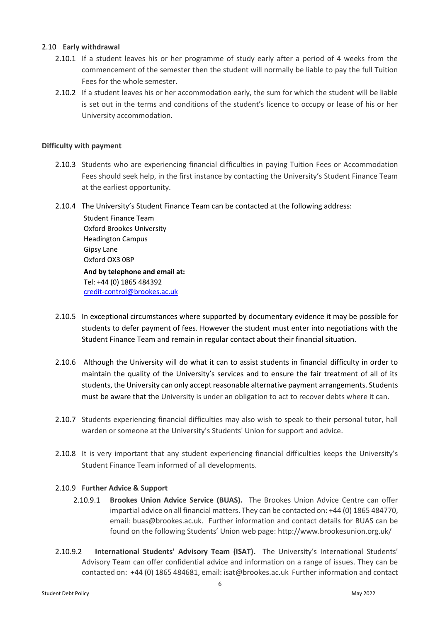#### 2.10 **Early withdrawal**

- <span id="page-5-0"></span>2.10.1 If a student leaves his or her programme of study early after a period of 4 weeks from the commencement of the semester then the student will normally be liable to pay the full Tuition Fees for the whole semester.
- 2.10.2 If a student leaves his or her accommodation early, the sum for which the student will be liable is set out in the terms and conditions of the student's licence to occupy or lease of his or her University accommodation.

## **Difficulty with payment**

- 2.10.3 Students who are experiencing financial difficulties in paying Tuition Fees or Accommodation Fees should seek help, in the first instance by contacting the University's Student Finance Team at the earliest opportunity.
- 2.10.4 The University's Student Finance Team can be contacted at the following address:

Student Finance Team Oxford Brookes University Headington Campus Gipsy Lane Oxford OX3 0BP **And by telephone and email at:** Tel: +44 (0) 1865 484392 [credit-control@brookes.ac.uk](mailto:credit-control@brookes.ac.uk)

- 2.10.5 In exceptional circumstances where supported by documentary evidence it may be possible for students to defer payment of fees. However the student must enter into negotiations with the Student Finance Team and remain in regular contact about their financial situation.
- 2.10.6 Although the University will do what it can to assist students in financial difficulty in order to maintain the quality of the University's services and to ensure the fair treatment of all of its students, the University can only accept reasonable alternative payment arrangements. Students must be aware that the University is under an obligation to act to recover debts where it can.
- 2.10.7 Students experiencing financial difficulties may also wish to speak to their personal tutor, hall warden or someone at the University's Students' Union for support and advice.
- 2.10.8 It is very important that any student experiencing financial difficulties keeps the University's Student Finance Team informed of all developments.

# 2.10.9 **Further Advice & Support**

- 2.10.9.1 **Brookes Union Advice Service (BUAS).** The Brookes Union Advice Centre can offer impartial advice on all financial matters. They can be contacted on: +44 (0) 1865 484770, email: [buas@brookes.ac.uk.](mailto:suadvice@brookes.ac.uk) Further information and contact details for BUAS can be found on the following Students' Union web page: <http://www.brookesunion.org.uk/>
- 2.10.9.2 **International Students' Advisory Team (ISAT).** The University's International Students' Advisory Team can offer confidential advice and information on a range of issues. They can be contacted on: +44 (0) 1865 484681, email[: isat@brookes.ac.uk](mailto:isas@brookes.ac.uk) Further information and contact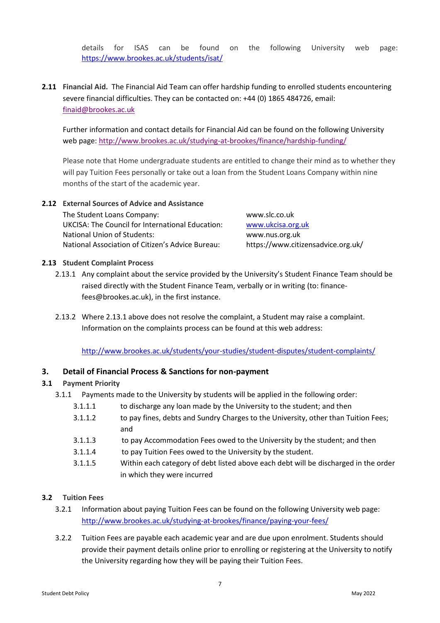details for ISAS can be found on the following University web page: <https://www.brookes.ac.uk/students/isat/>

<span id="page-6-1"></span>**2.11 Financial Aid.** The Financial Aid Team can offer hardship funding to enrolled students encountering severe financial difficulties. They can be contacted on: +44 (0) 1865 484726, email: [finaid@brookes.ac.uk](mailto:finaid@brookes.ac.uk)

Further information and contact details for Financial Aid can be found on the following University web page:<http://www.brookes.ac.uk/studying-at-brookes/finance/hardship-funding/>

Please note that Home undergraduate students are entitled to change their mind as to whether they will pay Tuition Fees personally or take out a loan from the Student Loans Company within nine months of the start of the academic year.

**2.12 External Sources of Advice and Assistance** The Student Loans Company: [www.slc.co.uk](http://www.slc.co.uk/) UKCISA: The Council for International Education: [www.ukcisa.org.uk](http://www.ukcisa.org.uk/) National Union of Students: [www.nus.org.uk](http://www.nus.org.uk/) National Association of Citizen's Advice Bureau: https://www.citizensadvice.org.uk/

## **2.13 Student Complaint Process**

- 2.13.1 Any complaint about the service provided by the University's Student Finance Team should be raised directly with the Student Finance Team, verbally or in writing (to: financefees@brookes.ac.uk), in the first instance.
- 2.13.2 Where 2.13.1 above does not resolve the complaint, a Student may raise a complaint. Information on the complaints process can be found at this web address:

<http://www.brookes.ac.uk/students/your-studies/student-disputes/student-complaints/>

# <span id="page-6-0"></span>**3. Detail of Financial Process & Sanctions for non-payment**

#### **3.1 Payment Priority**

- 3.1.1 Payments made to the University by students will be applied in the following order:
	- 3.1.1.1 to discharge any loan made by the University to the student; and then
	- 3.1.1.2 to pay fines, debts and Sundry Charges to the University, other than Tuition Fees; and
	- 3.1.1.3 to pay Accommodation Fees owed to the University by the student; and then
	- 3.1.1.4 to pay Tuition Fees owed to the University by the student.
	- 3.1.1.5 Within each category of debt listed above each debt will be discharged in the order in which they were incurred

#### <span id="page-6-2"></span>**3.2 Tuition Fees**

- 3.2.1 Information about paying Tuition Fees can be found on the following University web page: <http://www.brookes.ac.uk/studying-at-brookes/finance/paying-your-fees/>
- 3.2.2 Tuition Fees are payable each academic year and are due upon enrolment. Students should provide their payment details online prior to enrolling or registering at the University to notify the University regarding how they will be paying their Tuition Fees.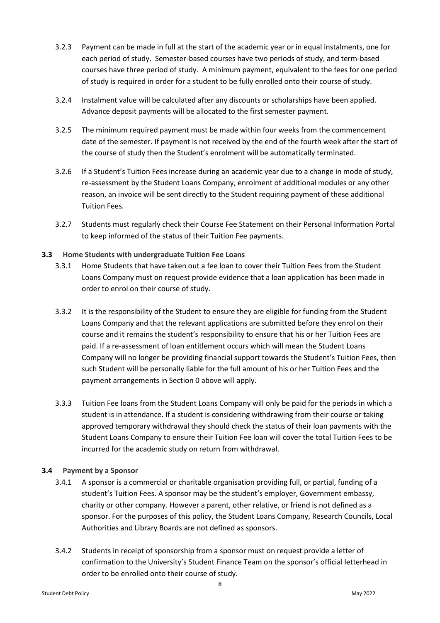- 3.2.3 Payment can be made in full at the start of the academic year or in equal instalments, one for each period of study. Semester-based courses have two periods of study, and term-based courses have three period of study. A minimum payment, equivalent to the fees for one period of study is required in order for a student to be fully enrolled onto their course of study.
- 3.2.4 Instalment value will be calculated after any discounts or scholarships have been applied. Advance deposit payments will be allocated to the first semester payment.
- 3.2.5 The minimum required payment must be made within four weeks from the commencement date of the semester. If payment is not received by the end of the fourth week after the start of the course of study then the Student's enrolment will be automatically terminated.
- 3.2.6 If a Student's Tuition Fees increase during an academic year due to a change in mode of study, re-assessment by the Student Loans Company, enrolment of additional modules or any other reason, an invoice will be sent directly to the Student requiring payment of these additional Tuition Fees.
- 3.2.7 Students must regularly check their Course Fee Statement on their Personal Information Portal to keep informed of the status of their Tuition Fee payments.

## **3.3 Home Students with undergraduate Tuition Fee Loans**

- 3.3.1 Home Students that have taken out a fee loan to cover their Tuition Fees from the Student Loans Company must on request provide evidence that a loan application has been made in order to enrol on their course of study.
- 3.3.2 It is the responsibility of the Student to ensure they are eligible for funding from the Student Loans Company and that the relevant applications are submitted before they enrol on their course and it remains the student's responsibility to ensure that his or her Tuition Fees are paid. If a re-assessment of loan entitlement occurs which will mean the Student Loans Company will no longer be providing financial support towards the Student's Tuition Fees, then such Student will be personally liable for the full amount of his or her Tuition Fees and the payment arrangements in Sectio[n 0](#page-6-2) above will apply.
- 3.3.3 Tuition Fee loans from the Student Loans Company will only be paid for the periods in which a student is in attendance. If a student is considering withdrawing from their course or taking approved temporary withdrawal they should check the status of their loan payments with the Student Loans Company to ensure their Tuition Fee loan will cover the total Tuition Fees to be incurred for the academic study on return from withdrawal.

# **3.4 Payment by a Sponsor**

- 3.4.1 A sponsor is a commercial or charitable organisation providing full, or partial, funding of a student's Tuition Fees. A sponsor may be the student's employer, Government embassy, charity or other company. However a parent, other relative, or friend is not defined as a sponsor. For the purposes of this policy, the Student Loans Company, Research Councils, Local Authorities and Library Boards are not defined as sponsors.
- 3.4.2 Students in receipt of sponsorship from a sponsor must on request provide a letter of confirmation to the University's Student Finance Team on the sponsor's official letterhead in order to be enrolled onto their course of study.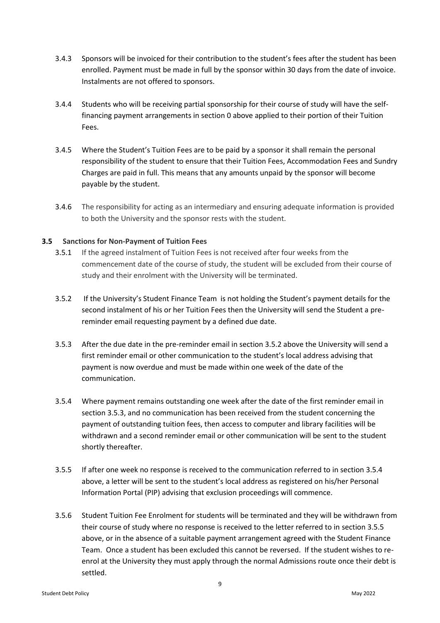- 3.4.3 Sponsors will be invoiced for their contribution to the student's fees after the student has been enrolled. Payment must be made in full by the sponsor within 30 days from the date of invoice. Instalments are not offered to sponsors.
- 3.4.4 Students who will be receiving partial sponsorship for their course of study will have the selffinancing payment arrangements in section [0](#page-6-2) above applied to their portion of their Tuition Fees.
- 3.4.5 Where the Student's Tuition Fees are to be paid by a sponsor it shall remain the personal responsibility of the student to ensure that their Tuition Fees, Accommodation Fees and Sundry Charges are paid in full. This means that any amounts unpaid by the sponsor will become payable by the student.
- 3.4.6 The responsibility for acting as an intermediary and ensuring adequate information is provided to both the University and the sponsor rests with the student.

## **3.5 Sanctions for Non-Payment of Tuition Fees**

- <span id="page-8-0"></span>3.5.1 If the agreed instalment of Tuition Fees is not received after four weeks from the commencement date of the course of study, the student will be excluded from their course of study and their enrolment with the University will be terminated.
- <span id="page-8-1"></span>3.5.2 If the University's Student Finance Team is not holding the Student's payment details for the second instalment of his or her Tuition Fees then the University will send the Student a prereminder email requesting payment by a defined due date.
- <span id="page-8-2"></span>3.5.3 After the due date in the pre-reminder email in section [3.5.2](#page-8-1) above the University will send a first reminder email or other communication to the student's local address advising that payment is now overdue and must be made within one week of the date of the communication.
- <span id="page-8-3"></span>3.5.4 Where payment remains outstanding one week after the date of the first reminder email in section [3.5.3,](#page-8-2) and no communication has been received from the student concerning the payment of outstanding tuition fees, then access to computer and library facilities will be withdrawn and a second reminder email or other communication will be sent to the student shortly thereafter.
- <span id="page-8-4"></span>3.5.5 If after one week no response is received to the communication referred to in section [3.5.4](#page-8-3) above, a letter will be sent to the student's local address as registered on his/her Personal Information Portal (PIP) advising that exclusion proceedings will commence.
- 3.5.6 Student Tuition Fee Enrolment for students will be terminated and they will be withdrawn from their course of study where no response is received to the letter referred to in section [3.5.5](#page-8-4) above, or in the absence of a suitable payment arrangement agreed with the Student Finance Team. Once a student has been excluded this cannot be reversed. If the student wishes to reenrol at the University they must apply through the normal Admissions route once their debt is settled.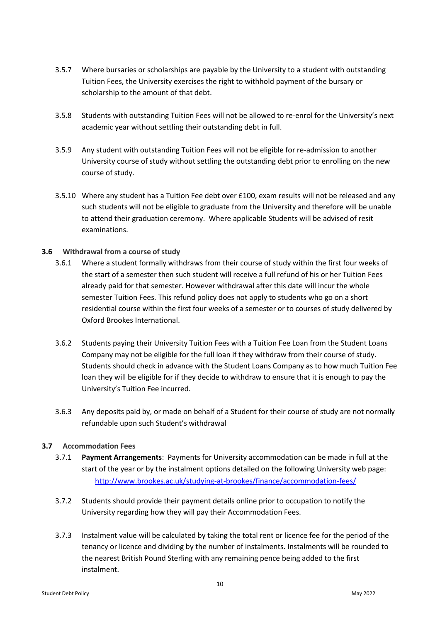- 3.5.7 Where bursaries or scholarships are payable by the University to a student with outstanding Tuition Fees, the University exercises the right to withhold payment of the bursary or scholarship to the amount of that debt.
- 3.5.8 Students with outstanding Tuition Fees will not be allowed to re-enrol for the University's next academic year without settling their outstanding debt in full.
- 3.5.9 Any student with outstanding Tuition Fees will not be eligible for re-admission to another University course of study without settling the outstanding debt prior to enrolling on the new course of study.
- 3.5.10 Where any student has a Tuition Fee debt over £100, exam results will not be released and any such students will not be eligible to graduate from the University and therefore will be unable to attend their graduation ceremony. Where applicable Students will be advised of resit examinations.

## **3.6 Withdrawal from a course of study**

- 3.6.1 Where a student formally withdraws from their course of study within the first four weeks of the start of a semester then such student will receive a full refund of his or her Tuition Fees already paid for that semester. However withdrawal after this date will incur the whole semester Tuition Fees. This refund policy does not apply to students who go on a short residential course within the first four weeks of a semester or to courses of study delivered by Oxford Brookes International.
- 3.6.2 Students paying their University Tuition Fees with a Tuition Fee Loan from the Student Loans Company may not be eligible for the full loan if they withdraw from their course of study. Students should check in advance with the Student Loans Company as to how much Tuition Fee loan they will be eligible for if they decide to withdraw to ensure that it is enough to pay the University's Tuition Fee incurred.
- 3.6.3 Any deposits paid by, or made on behalf of a Student for their course of study are not normally refundable upon such Student's withdrawal

# **3.7 Accommodation Fees**

- 3.7.1 **Payment Arrangements**: Payments for University accommodation can be made in full at the start of the year or by the instalment options detailed on the following University web page: <http://www.brookes.ac.uk/studying-at-brookes/finance/accommodation-fees/>
- 3.7.2 Students should provide their payment details online prior to occupation to notify the University regarding how they will pay their Accommodation Fees.
- 3.7.3 Instalment value will be calculated by taking the total rent or licence fee for the period of the tenancy or licence and dividing by the number of instalments. Instalments will be rounded to the nearest British Pound Sterling with any remaining pence being added to the first instalment.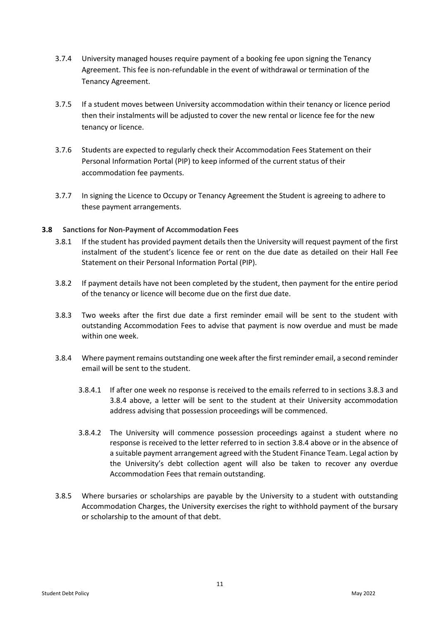- 3.7.4 University managed houses require payment of a booking fee upon signing the Tenancy Agreement. This fee is non-refundable in the event of withdrawal or termination of the Tenancy Agreement.
- 3.7.5 If a student moves between University accommodation within their tenancy or licence period then their instalments will be adjusted to cover the new rental or licence fee for the new tenancy or licence.
- 3.7.6 Students are expected to regularly check their Accommodation Fees Statement on their Personal Information Portal (PIP) to keep informed of the current status of their accommodation fee payments.
- 3.7.7 In signing the Licence to Occupy or Tenancy Agreement the Student is agreeing to adhere to these payment arrangements.

## **3.8 Sanctions for Non-Payment of Accommodation Fees**

- <span id="page-10-0"></span>3.8.1 If the student has provided payment details then the University will request payment of the first instalment of the student's licence fee or rent on the due date as detailed on their Hall Fee Statement on their Personal Information Portal (PIP).
- 3.8.2 If payment details have not been completed by the student, then payment for the entire period of the tenancy or licence will become due on the first due date.
- <span id="page-10-1"></span>3.8.3 Two weeks after the first due date a first reminder email will be sent to the student with outstanding Accommodation Fees to advise that payment is now overdue and must be made within one week.
- <span id="page-10-2"></span>3.8.4 Where payment remains outstanding one week after the first reminder email, a second reminder email will be sent to the student.
	- 3.8.4.1 If after one week no response is received to the emails referred to in sections [3.8.3](#page-10-1) and [3.8.4](#page-10-2) above, a letter will be sent to the student at their University accommodation address advising that possession proceedings will be commenced.
	- 3.8.4.2 The University will commence possession proceedings against a student where no response is received to the letter referred to in section [3.8.4](#page-10-2) above or in the absence of a suitable payment arrangement agreed with the Student Finance Team. Legal action by the University's debt collection agent will also be taken to recover any overdue Accommodation Fees that remain outstanding.
- 3.8.5 Where bursaries or scholarships are payable by the University to a student with outstanding Accommodation Charges, the University exercises the right to withhold payment of the bursary or scholarship to the amount of that debt.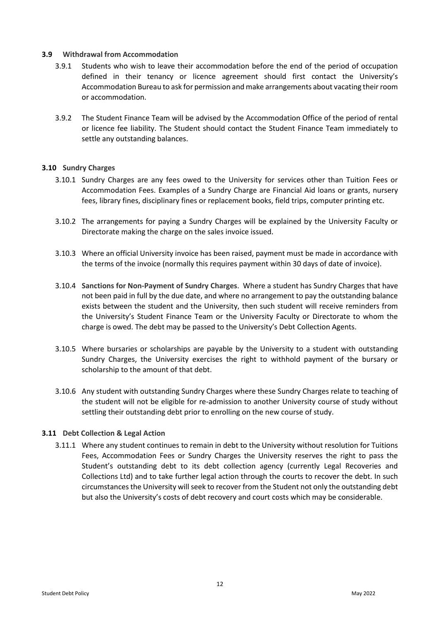#### **3.9 Withdrawal from Accommodation**

- 3.9.1 Students who wish to leave their accommodation before the end of the period of occupation defined in their tenancy or licence agreement should first contact the University's Accommodation Bureau to ask for permission and make arrangements about vacating their room or accommodation.
- 3.9.2 The Student Finance Team will be advised by the Accommodation Office of the period of rental or licence fee liability. The Student should contact the Student Finance Team immediately to settle any outstanding balances.

# **3.10 Sundry Charges**

- 3.10.1 Sundry Charges are any fees owed to the University for services other than Tuition Fees or Accommodation Fees. Examples of a Sundry Charge are Financial Aid loans or grants, nursery fees, library fines, disciplinary fines or replacement books, field trips, computer printing etc.
- 3.10.2 The arrangements for paying a Sundry Charges will be explained by the University Faculty or Directorate making the charge on the sales invoice issued.
- 3.10.3 Where an official University invoice has been raised, payment must be made in accordance with the terms of the invoice (normally this requires payment within 30 days of date of invoice).
- <span id="page-11-0"></span>3.10.4 **Sanctions for Non-Payment of Sundry Charges**. Where a student has Sundry Charges that have not been paid in full by the due date, and where no arrangement to pay the outstanding balance exists between the student and the University, then such student will receive reminders from the University's Student Finance Team or the University Faculty or Directorate to whom the charge is owed. The debt may be passed to the University's Debt Collection Agents.
- 3.10.5 Where bursaries or scholarships are payable by the University to a student with outstanding Sundry Charges, the University exercises the right to withhold payment of the bursary or scholarship to the amount of that debt.
- 3.10.6 Any student with outstanding Sundry Charges where these Sundry Charges relate to teaching of the student will not be eligible for re-admission to another University course of study without settling their outstanding debt prior to enrolling on the new course of study.

#### **3.11 Debt Collection & Legal Action**

3.11.1 Where any student continues to remain in debt to the University without resolution for Tuitions Fees, Accommodation Fees or Sundry Charges the University reserves the right to pass the Student's outstanding debt to its debt collection agency (currently Legal Recoveries and Collections Ltd) and to take further legal action through the courts to recover the debt. In such circumstances the University will seek to recover from the Student not only the outstanding debt but also the University's costs of debt recovery and court costs which may be considerable.